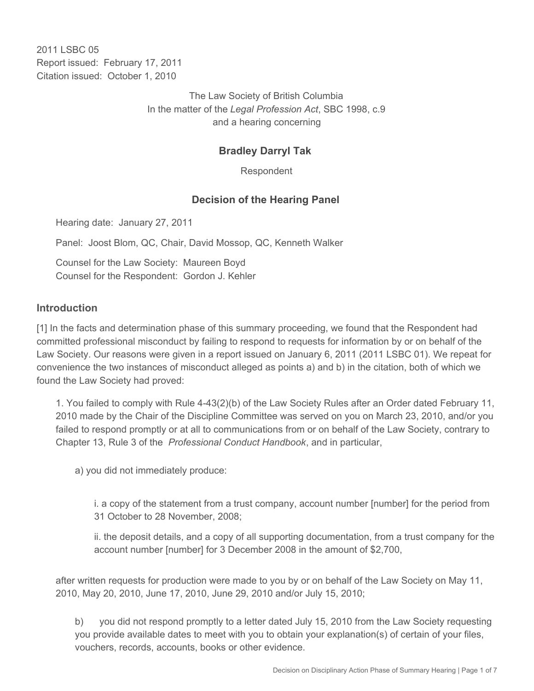2011 I SBC 05 Report issued: February 17, 2011 Citation issued: October 1, 2010

> The Law Society of British Columbia In the matter of the *Legal Profession Act*, SBC 1998, c.9 and a hearing concerning

# **Bradley Darryl Tak**

Respondent

## **Decision of the Hearing Panel**

Hearing date: January 27, 2011

Panel: Joost Blom, QC, Chair, David Mossop, QC, Kenneth Walker

Counsel for the Law Society: Maureen Boyd Counsel for the Respondent: Gordon J. Kehler

#### **Introduction**

[1] In the facts and determination phase of this summary proceeding, we found that the Respondent had committed professional misconduct by failing to respond to requests for information by or on behalf of the Law Society. Our reasons were given in a report issued on January 6, 2011 (2011 LSBC 01). We repeat for convenience the two instances of misconduct alleged as points a) and b) in the citation, both of which we found the Law Society had proved:

1. You failed to comply with Rule 4-43(2)(b) of the Law Society Rules after an Order dated February 11, 2010 made by the Chair of the Discipline Committee was served on you on March 23, 2010, and/or you failed to respond promptly or at all to communications from or on behalf of the Law Society, contrary to Chapter 13, Rule 3 of the *Professional Conduct Handbook*, and in particular,

a) you did not immediately produce:

i. a copy of the statement from a trust company, account number [number] for the period from 31 October to 28 November, 2008;

ii. the deposit details, and a copy of all supporting documentation, from a trust company for the account number [number] for 3 December 2008 in the amount of \$2,700,

after written requests for production were made to you by or on behalf of the Law Society on May 11, 2010, May 20, 2010, June 17, 2010, June 29, 2010 and/or July 15, 2010;

b) you did not respond promptly to a letter dated July 15, 2010 from the Law Society requesting you provide available dates to meet with you to obtain your explanation(s) of certain of your files, vouchers, records, accounts, books or other evidence.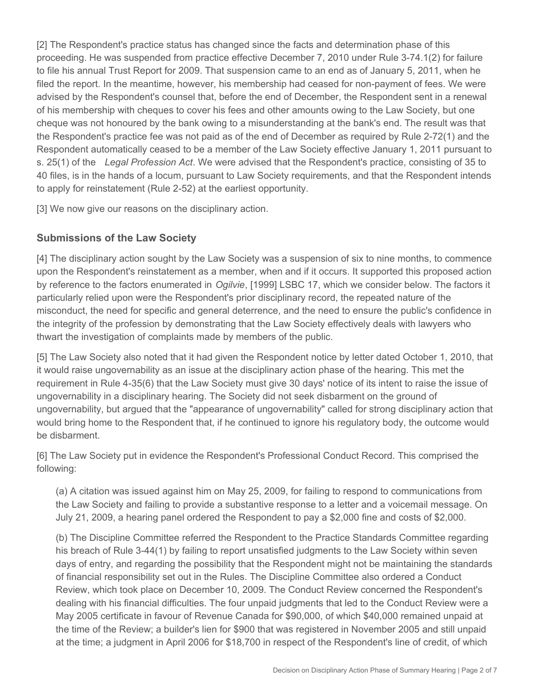[2] The Respondent's practice status has changed since the facts and determination phase of this proceeding. He was suspended from practice effective December 7, 2010 under Rule 3-74.1(2) for failure to file his annual Trust Report for 2009. That suspension came to an end as of January 5, 2011, when he filed the report. In the meantime, however, his membership had ceased for non-payment of fees. We were advised by the Respondent's counsel that, before the end of December, the Respondent sent in a renewal of his membership with cheques to cover his fees and other amounts owing to the Law Society, but one cheque was not honoured by the bank owing to a misunderstanding at the bank's end. The result was that the Respondent's practice fee was not paid as of the end of December as required by Rule 2-72(1) and the Respondent automatically ceased to be a member of the Law Society effective January 1, 2011 pursuant to s. 25(1) of the *Legal Profession Act*. We were advised that the Respondent's practice, consisting of 35 to 40 files, is in the hands of a locum, pursuant to Law Society requirements, and that the Respondent intends to apply for reinstatement (Rule 2-52) at the earliest opportunity.

[3] We now give our reasons on the disciplinary action.

## **Submissions of the Law Society**

[4] The disciplinary action sought by the Law Society was a suspension of six to nine months, to commence upon the Respondent's reinstatement as a member, when and if it occurs. It supported this proposed action by reference to the factors enumerated in *Ogilvie*, [1999] LSBC 17, which we consider below. The factors it particularly relied upon were the Respondent's prior disciplinary record, the repeated nature of the misconduct, the need for specific and general deterrence, and the need to ensure the public's confidence in the integrity of the profession by demonstrating that the Law Society effectively deals with lawyers who thwart the investigation of complaints made by members of the public.

[5] The Law Society also noted that it had given the Respondent notice by letter dated October 1, 2010, that it would raise ungovernability as an issue at the disciplinary action phase of the hearing. This met the requirement in Rule 4-35(6) that the Law Society must give 30 days' notice of its intent to raise the issue of ungovernability in a disciplinary hearing. The Society did not seek disbarment on the ground of ungovernability, but argued that the "appearance of ungovernability" called for strong disciplinary action that would bring home to the Respondent that, if he continued to ignore his regulatory body, the outcome would be disbarment.

[6] The Law Society put in evidence the Respondent's Professional Conduct Record. This comprised the following:

(a) A citation was issued against him on May 25, 2009, for failing to respond to communications from the Law Society and failing to provide a substantive response to a letter and a voicemail message. On July 21, 2009, a hearing panel ordered the Respondent to pay a \$2,000 fine and costs of \$2,000.

(b) The Discipline Committee referred the Respondent to the Practice Standards Committee regarding his breach of Rule 3-44(1) by failing to report unsatisfied judgments to the Law Society within seven days of entry, and regarding the possibility that the Respondent might not be maintaining the standards of financial responsibility set out in the Rules. The Discipline Committee also ordered a Conduct Review, which took place on December 10, 2009. The Conduct Review concerned the Respondent's dealing with his financial difficulties. The four unpaid judgments that led to the Conduct Review were a May 2005 certificate in favour of Revenue Canada for \$90,000, of which \$40,000 remained unpaid at the time of the Review; a builder's lien for \$900 that was registered in November 2005 and still unpaid at the time; a judgment in April 2006 for \$18,700 in respect of the Respondent's line of credit, of which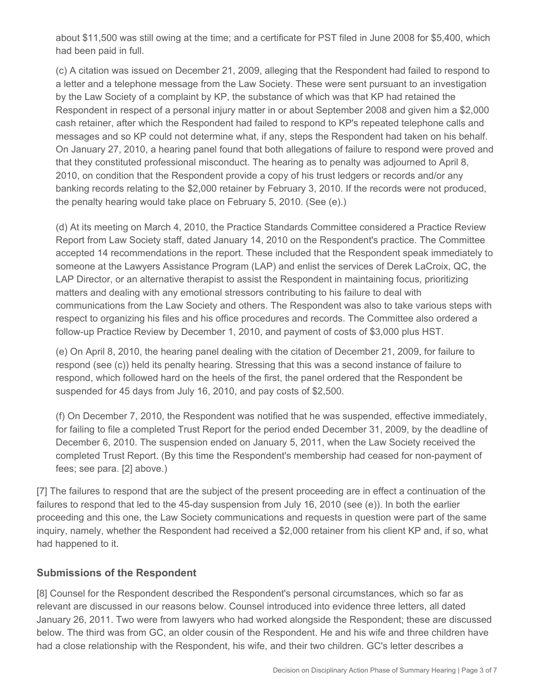about \$11,500 was still owing at the time; and a certificate for PST filed in June 2008 for \$5,400, which had been paid in full.

(c) A citation was issued on December 21, 2009, alleging that the Respondent had failed to respond to a letter and a telephone message from the Law Society. These were sent pursuant to an investigation by the Law Society of a complaint by KP, the substance of which was that KP had retained the Respondent in respect of a personal injury matter in or about September 2008 and given him a \$2,000 cash retainer, after which the Respondent had failed to respond to KP's repeated telephone calls and messages and so KP could not determine what, if any, steps the Respondent had taken on his behalf. On January 27, 2010, a hearing panel found that both allegations of failure to respond were proved and that they constituted professional misconduct. The hearing as to penalty was adjourned to April 8, 2010, on condition that the Respondent provide a copy of his trust ledgers or records and/or any banking records relating to the \$2,000 retainer by February 3, 2010. If the records were not produced, the penalty hearing would take place on February 5, 2010. (See (e).)

(d) At its meeting on March 4, 2010, the Practice Standards Committee considered a Practice Review Report from Law Society staff, dated January 14, 2010 on the Respondent's practice. The Committee accepted 14 recommendations in the report. These included that the Respondent speak immediately to someone at the Lawyers Assistance Program (LAP) and enlist the services of Derek LaCroix, QC, the LAP Director, or an alternative therapist to assist the Respondent in maintaining focus, prioritizing matters and dealing with any emotional stressors contributing to his failure to deal with communications from the Law Society and others. The Respondent was also to take various steps with respect to organizing his files and his office procedures and records. The Committee also ordered a follow-up Practice Review by December 1, 2010, and payment of costs of \$3,000 plus HST.

(e) On April 8, 2010, the hearing panel dealing with the citation of December 21, 2009, for failure to respond (see (c)) held its penalty hearing. Stressing that this was a second instance of failure to respond, which followed hard on the heels of the first, the panel ordered that the Respondent be suspended for 45 days from July 16, 2010, and pay costs of \$2,500.

(f) On December 7, 2010, the Respondent was notified that he was suspended, effective immediately, for failing to file a completed Trust Report for the period ended December 31, 2009, by the deadline of December 6, 2010. The suspension ended on January 5, 2011, when the Law Society received the completed Trust Report. (By this time the Respondent's membership had ceased for non-payment of fees; see para. [2] above.)

[7] The failures to respond that are the subject of the present proceeding are in effect a continuation of the failures to respond that led to the 45-day suspension from July 16, 2010 (see (e)). In both the earlier proceeding and this one, the Law Society communications and requests in question were part of the same inquiry, namely, whether the Respondent had received a \$2,000 retainer from his client KP and, if so, what had happened to it.

## **Submissions of the Respondent**

[8] Counsel for the Respondent described the Respondent's personal circumstances, which so far as relevant are discussed in our reasons below. Counsel introduced into evidence three letters, all dated January 26, 2011. Two were from lawyers who had worked alongside the Respondent; these are discussed below. The third was from GC, an older cousin of the Respondent. He and his wife and three children have had a close relationship with the Respondent, his wife, and their two children. GC's letter describes a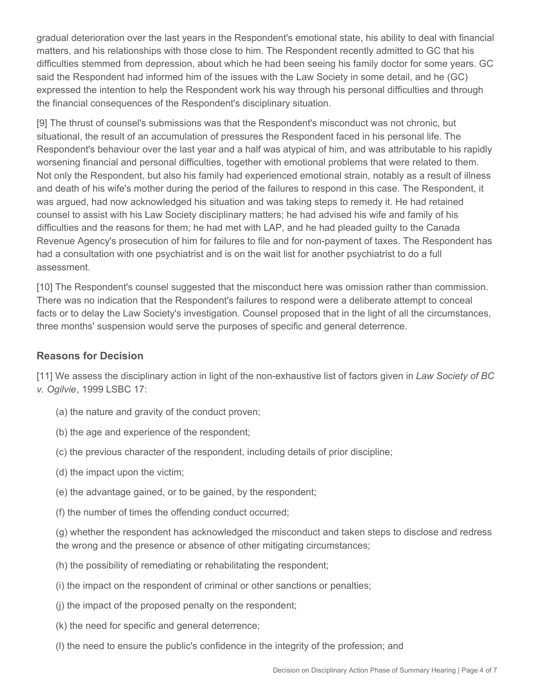gradual deterioration over the last years in the Respondent's emotional state, his ability to deal with financial matters, and his relationships with those close to him. The Respondent recently admitted to GC that his difficulties stemmed from depression, about which he had been seeing his family doctor for some years. GC said the Respondent had informed him of the issues with the Law Society in some detail, and he (GC) expressed the intention to help the Respondent work his way through his personal difficulties and through the financial consequences of the Respondent's disciplinary situation.

[9] The thrust of counsel's submissions was that the Respondent's misconduct was not chronic, but situational, the result of an accumulation of pressures the Respondent faced in his personal life. The Respondent's behaviour over the last year and a half was atypical of him, and was attributable to his rapidly worsening financial and personal difficulties, together with emotional problems that were related to them. Not only the Respondent, but also his family had experienced emotional strain, notably as a result of illness and death of his wife's mother during the period of the failures to respond in this case. The Respondent, it was argued, had now acknowledged his situation and was taking steps to remedy it. He had retained counsel to assist with his Law Society disciplinary matters; he had advised his wife and family of his difficulties and the reasons for them; he had met with LAP, and he had pleaded guilty to the Canada Revenue Agency's prosecution of him for failures to file and for non-payment of taxes. The Respondent has had a consultation with one psychiatrist and is on the wait list for another psychiatrist to do a full assessment.

[10] The Respondent's counsel suggested that the misconduct here was omission rather than commission. There was no indication that the Respondent's failures to respond were a deliberate attempt to conceal facts or to delay the Law Society's investigation. Counsel proposed that in the light of all the circumstances, three months' suspension would serve the purposes of specific and general deterrence.

#### **Reasons for Decision**

[11] We assess the disciplinary action in light of the non-exhaustive list of factors given in *Law Society of BC v. Ogilvie*, 1999 LSBC 17:

- (a) the nature and gravity of the conduct proven;
- (b) the age and experience of the respondent;
- (c) the previous character of the respondent, including details of prior discipline;
- (d) the impact upon the victim;
- (e) the advantage gained, or to be gained, by the respondent;
- (f) the number of times the offending conduct occurred;

(g) whether the respondent has acknowledged the misconduct and taken steps to disclose and redress the wrong and the presence or absence of other mitigating circumstances;

- (h) the possibility of remediating or rehabilitating the respondent;
- (i) the impact on the respondent of criminal or other sanctions or penalties;
- (j) the impact of the proposed penalty on the respondent;
- (k) the need for specific and general deterrence;
- (l) the need to ensure the public's confidence in the integrity of the profession; and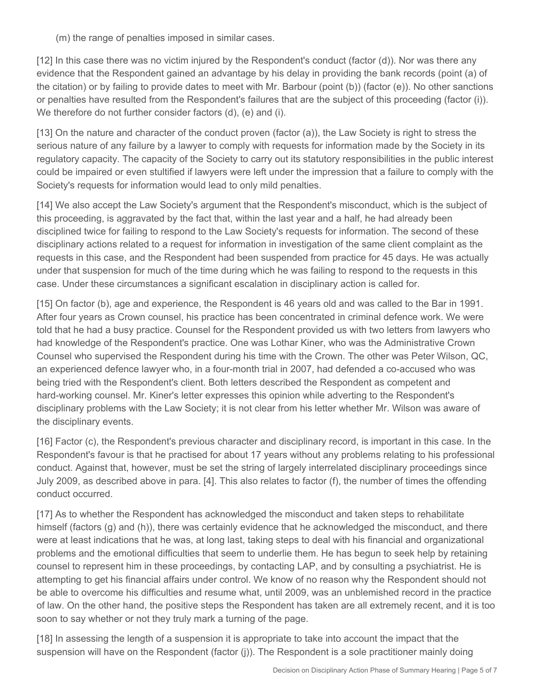(m) the range of penalties imposed in similar cases.

[12] In this case there was no victim injured by the Respondent's conduct (factor (d)). Nor was there any evidence that the Respondent gained an advantage by his delay in providing the bank records (point (a) of the citation) or by failing to provide dates to meet with Mr. Barbour (point (b)) (factor (e)). No other sanctions or penalties have resulted from the Respondent's failures that are the subject of this proceeding (factor (i)). We therefore do not further consider factors (d), (e) and (i).

[13] On the nature and character of the conduct proven (factor (a)), the Law Society is right to stress the serious nature of any failure by a lawyer to comply with requests for information made by the Society in its regulatory capacity. The capacity of the Society to carry out its statutory responsibilities in the public interest could be impaired or even stultified if lawyers were left under the impression that a failure to comply with the Society's requests for information would lead to only mild penalties.

[14] We also accept the Law Society's argument that the Respondent's misconduct, which is the subject of this proceeding, is aggravated by the fact that, within the last year and a half, he had already been disciplined twice for failing to respond to the Law Society's requests for information. The second of these disciplinary actions related to a request for information in investigation of the same client complaint as the requests in this case, and the Respondent had been suspended from practice for 45 days. He was actually under that suspension for much of the time during which he was failing to respond to the requests in this case. Under these circumstances a significant escalation in disciplinary action is called for.

[15] On factor (b), age and experience, the Respondent is 46 years old and was called to the Bar in 1991. After four years as Crown counsel, his practice has been concentrated in criminal defence work. We were told that he had a busy practice. Counsel for the Respondent provided us with two letters from lawyers who had knowledge of the Respondent's practice. One was Lothar Kiner, who was the Administrative Crown Counsel who supervised the Respondent during his time with the Crown. The other was Peter Wilson, QC, an experienced defence lawyer who, in a four-month trial in 2007, had defended a co-accused who was being tried with the Respondent's client. Both letters described the Respondent as competent and hard-working counsel. Mr. Kiner's letter expresses this opinion while adverting to the Respondent's disciplinary problems with the Law Society; it is not clear from his letter whether Mr. Wilson was aware of the disciplinary events.

[16] Factor (c), the Respondent's previous character and disciplinary record, is important in this case. In the Respondent's favour is that he practised for about 17 years without any problems relating to his professional conduct. Against that, however, must be set the string of largely interrelated disciplinary proceedings since July 2009, as described above in para. [4]. This also relates to factor (f), the number of times the offending conduct occurred.

[17] As to whether the Respondent has acknowledged the misconduct and taken steps to rehabilitate himself (factors (g) and (h)), there was certainly evidence that he acknowledged the misconduct, and there were at least indications that he was, at long last, taking steps to deal with his financial and organizational problems and the emotional difficulties that seem to underlie them. He has begun to seek help by retaining counsel to represent him in these proceedings, by contacting LAP, and by consulting a psychiatrist. He is attempting to get his financial affairs under control. We know of no reason why the Respondent should not be able to overcome his difficulties and resume what, until 2009, was an unblemished record in the practice of law. On the other hand, the positive steps the Respondent has taken are all extremely recent, and it is too soon to say whether or not they truly mark a turning of the page.

[18] In assessing the length of a suspension it is appropriate to take into account the impact that the suspension will have on the Respondent (factor (j)). The Respondent is a sole practitioner mainly doing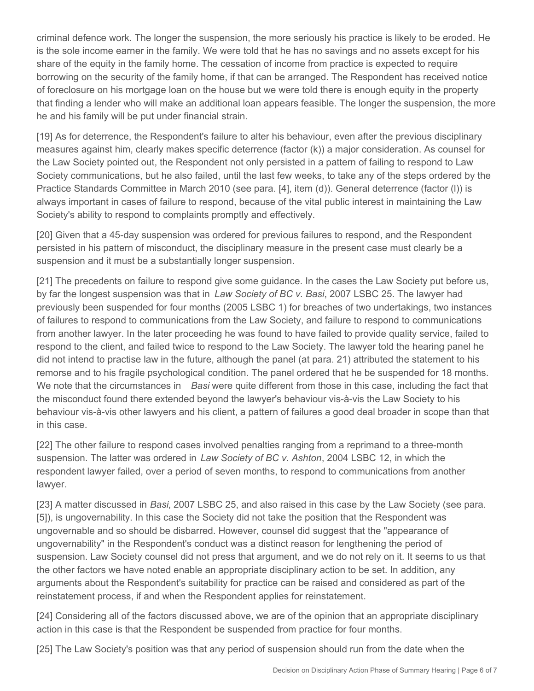criminal defence work. The longer the suspension, the more seriously his practice is likely to be eroded. He is the sole income earner in the family. We were told that he has no savings and no assets except for his share of the equity in the family home. The cessation of income from practice is expected to require borrowing on the security of the family home, if that can be arranged. The Respondent has received notice of foreclosure on his mortgage loan on the house but we were told there is enough equity in the property that finding a lender who will make an additional loan appears feasible. The longer the suspension, the more he and his family will be put under financial strain.

[19] As for deterrence, the Respondent's failure to alter his behaviour, even after the previous disciplinary measures against him, clearly makes specific deterrence (factor (k)) a major consideration. As counsel for the Law Society pointed out, the Respondent not only persisted in a pattern of failing to respond to Law Society communications, but he also failed, until the last few weeks, to take any of the steps ordered by the Practice Standards Committee in March 2010 (see para. [4], item (d)). General deterrence (factor (l)) is always important in cases of failure to respond, because of the vital public interest in maintaining the Law Society's ability to respond to complaints promptly and effectively.

[20] Given that a 45-day suspension was ordered for previous failures to respond, and the Respondent persisted in his pattern of misconduct, the disciplinary measure in the present case must clearly be a suspension and it must be a substantially longer suspension.

[21] The precedents on failure to respond give some guidance. In the cases the Law Society put before us, by far the longest suspension was that in *Law Society of BC v. Basi*, 2007 LSBC 25. The lawyer had previously been suspended for four months (2005 LSBC 1) for breaches of two undertakings, two instances of failures to respond to communications from the Law Society, and failure to respond to communications from another lawyer. In the later proceeding he was found to have failed to provide quality service, failed to respond to the client, and failed twice to respond to the Law Society. The lawyer told the hearing panel he did not intend to practise law in the future, although the panel (at para. 21) attributed the statement to his remorse and to his fragile psychological condition. The panel ordered that he be suspended for 18 months. We note that the circumstances in *Basi* were quite different from those in this case, including the fact that the misconduct found there extended beyond the lawyer's behaviour vis-à-vis the Law Society to his behaviour vis-à-vis other lawyers and his client, a pattern of failures a good deal broader in scope than that in this case.

[22] The other failure to respond cases involved penalties ranging from a reprimand to a three-month suspension. The latter was ordered in *Law Society of BC v. Ashton*, 2004 LSBC 12, in which the respondent lawyer failed, over a period of seven months, to respond to communications from another lawyer.

[23] A matter discussed in *Basi*, 2007 LSBC 25, and also raised in this case by the Law Society (see para. [5]), is ungovernability. In this case the Society did not take the position that the Respondent was ungovernable and so should be disbarred. However, counsel did suggest that the "appearance of ungovernability" in the Respondent's conduct was a distinct reason for lengthening the period of suspension. Law Society counsel did not press that argument, and we do not rely on it. It seems to us that the other factors we have noted enable an appropriate disciplinary action to be set. In addition, any arguments about the Respondent's suitability for practice can be raised and considered as part of the reinstatement process, if and when the Respondent applies for reinstatement.

[24] Considering all of the factors discussed above, we are of the opinion that an appropriate disciplinary action in this case is that the Respondent be suspended from practice for four months.

[25] The Law Society's position was that any period of suspension should run from the date when the